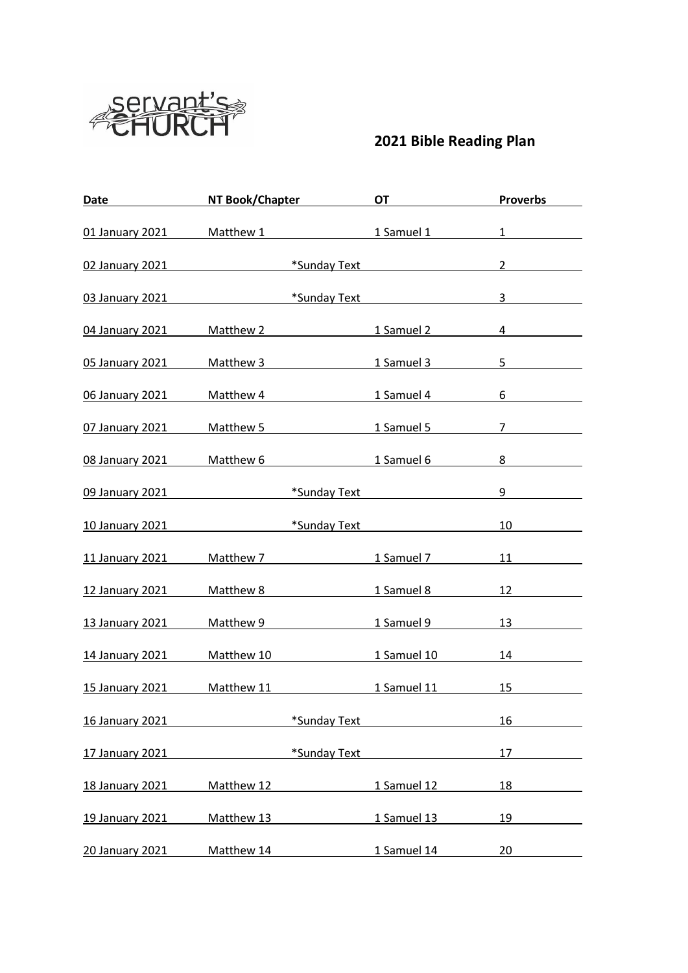

## **Bible Reading Plan**

| Date                                 |            | NT Book/Chapter                         | <u>a sa Bara</u><br>OT                       | <b>Proverbs</b>        |
|--------------------------------------|------------|-----------------------------------------|----------------------------------------------|------------------------|
| 01 January 2021 Matthew 1 1 Samuel 1 |            |                                         |                                              | $1 \quad \blacksquare$ |
| 02 January 2021                      |            |                                         | <b>Example 18 Sunday Text</b> Text           | $2^{\circ}$            |
| 03 January 2021                      |            |                                         | <b>Example 18 Sunday Text</b> Text           | 3                      |
| 04 January 2021                      |            |                                         | Matthew 2 1 Samuel 2                         | $\overline{4}$         |
| 05 January 2021                      |            |                                         | Matthew 3 1 Samuel 3                         | $5 -$                  |
| 06 January 2021                      |            | Matthew 4                               | 1 Samuel 4                                   | 6                      |
| 07 January 2021                      |            | Matthew 5                               | 1 Samuel 5                                   | $7\overline{ }$        |
| 08 January 2021                      | Matthew 6  |                                         | 1 Samuel 6                                   | 8                      |
| 09 January 2021                      |            |                                         | *Sunday Text <b>All Accords</b> *Sunday Text | 9                      |
| 10 January 2021                      |            | *Sunday Text <b>All Accords</b> *Sunday |                                              | 10                     |
| 11 January 2021                      |            | Matthew 7 Matthew 7                     | 1 Samuel 7 2001                              | 11                     |
| 12 January 2021                      | Matthew 8  |                                         | 1 Samuel 8                                   | 12                     |
| 13 January 2021                      | Matthew 9  |                                         | 1 Samuel 9                                   | 13                     |
| 14 January 2021                      | Matthew 10 |                                         | 1 Samuel 10                                  | 14                     |
| 15 January 2021                      | Matthew 11 |                                         | 1 Samuel 11                                  | 15                     |
| 16 January 2021                      |            | *Sunday Text                            |                                              | 16                     |
| 17 January 2021                      |            | *Sunday Text                            |                                              | 17                     |
| 18 January 2021                      | Matthew 12 |                                         | 1 Samuel 12                                  | 18                     |
| 19 January 2021                      | Matthew 13 |                                         | 1 Samuel 13                                  | 19                     |
| 20 January 2021                      | Matthew 14 |                                         | 1 Samuel 14                                  | 20                     |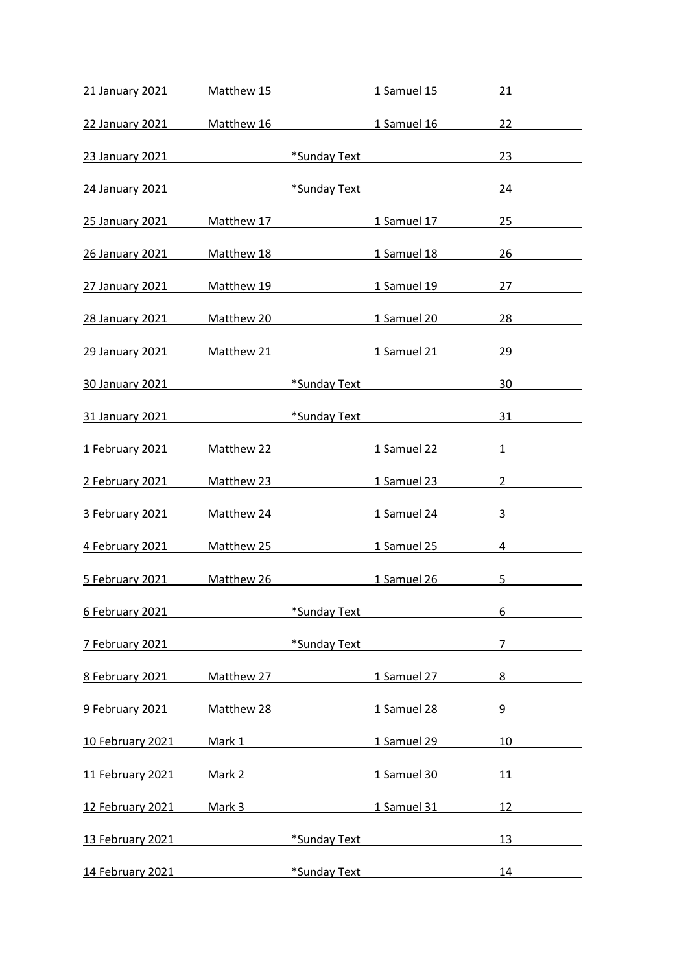| 21 January 2021        | Matthew 15 |                                                                                                                                                                                                                                | 1 Samuel 15                              | 21                     |
|------------------------|------------|--------------------------------------------------------------------------------------------------------------------------------------------------------------------------------------------------------------------------------|------------------------------------------|------------------------|
| 22 January 2021        | Matthew 16 |                                                                                                                                                                                                                                | 1 Samuel 16                              | 22                     |
| 23 January 2021        |            |                                                                                                                                                                                                                                | *Sunday Text <b>Exercise Sunday Text</b> | 23                     |
| 24 January 2021        |            | *Sunday Text                                                                                                                                                                                                                   |                                          | 24                     |
| 25 January 2021        | Matthew 17 |                                                                                                                                                                                                                                | 1 Samuel 17                              | 25                     |
| 26 January 2021        | Matthew 18 |                                                                                                                                                                                                                                | 1 Samuel 18                              | 26                     |
| 27 January 2021        | Matthew 19 |                                                                                                                                                                                                                                | 1 Samuel 19                              | 27                     |
|                        |            |                                                                                                                                                                                                                                |                                          | 28                     |
| 28 January 2021        | Matthew 20 |                                                                                                                                                                                                                                | 1 Samuel 20                              |                        |
| <b>29 January 2021</b> | Matthew 21 |                                                                                                                                                                                                                                | 1 Samuel 21                              | 29                     |
| 30 January 2021        |            | *Sunday Text                                                                                                                                                                                                                   |                                          | 30                     |
| 31 January 2021        |            | *Sunday Text                                                                                                                                                                                                                   |                                          | 31                     |
| 1 February 2021        | Matthew 22 |                                                                                                                                                                                                                                | 1 Samuel 22                              | $1 \quad \blacksquare$ |
| 2 February 2021        | Matthew 23 |                                                                                                                                                                                                                                | 1 Samuel 23                              | $\overline{2}$         |
| 3 February 2021        | Matthew 24 |                                                                                                                                                                                                                                | 1 Samuel 24                              | 3                      |
| 4 February 2021        | Matthew 25 |                                                                                                                                                                                                                                | 1 Samuel 25                              | 4                      |
| 5 February 2021        | Matthew 26 |                                                                                                                                                                                                                                | 1 Samuel 26                              | 5                      |
| 6 February 2021        |            | *Sunday Text                                                                                                                                                                                                                   |                                          | 6                      |
| 7 February 2021        |            | *Sunday Text                                                                                                                                                                                                                   |                                          | $\overline{7}$         |
| 8 February 2021        | Matthew 27 |                                                                                                                                                                                                                                | 1 Samuel 27                              | 8                      |
| 9 February 2021        | Matthew 28 |                                                                                                                                                                                                                                | 1 Samuel 28                              | 9                      |
| 10 February 2021       | Mark 1     |                                                                                                                                                                                                                                | 1 Samuel 29                              | 10                     |
| 11 February 2021       |            | Mark 2 and the state of the state of the state of the state of the state of the state of the state of the state of the state of the state of the state of the state of the state of the state of the state of the state of the | 1 Samuel 30                              | 11                     |
| 12 February 2021       | Mark 3     |                                                                                                                                                                                                                                | 1 Samuel 31                              | 12                     |
| 13 February 2021       |            | *Sunday Text                                                                                                                                                                                                                   |                                          | 13                     |
| 14 February 2021       |            | *Sunday Text                                                                                                                                                                                                                   |                                          | 14                     |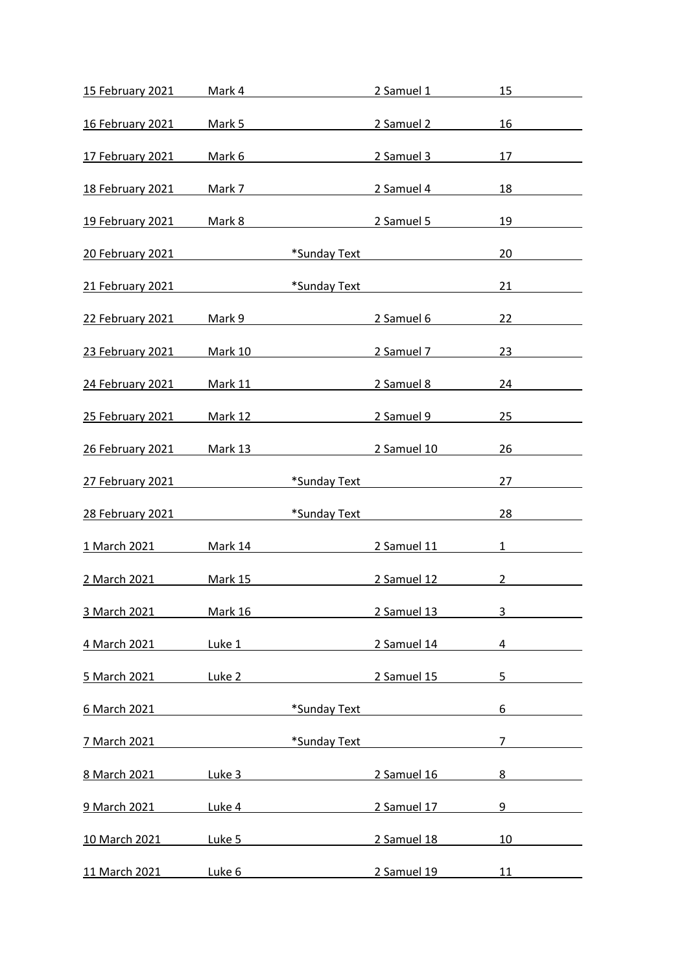| 15 February 2021 | Mark 4         |              | 2 Samuel 1                               | 15             |
|------------------|----------------|--------------|------------------------------------------|----------------|
| 16 February 2021 | Mark 5         |              | 2 Samuel 2                               | 16             |
| 17 February 2021 | Mark 6         |              | 2 Samuel 3                               | 17             |
| 18 February 2021 | Mark 7         |              | 2 Samuel 4                               | 18             |
| 19 February 2021 | Mark 8         |              | 2 Samuel 5                               | 19             |
| 20 February 2021 |                |              | *Sunday Text <b>Exercise Sunday Text</b> | 20             |
| 21 February 2021 |                | *Sunday Text |                                          | 21             |
| 22 February 2021 | Mark 9         |              | 2 Samuel 6                               | 22             |
| 23 February 2021 | Mark 10        |              | 2 Samuel 7                               | 23             |
| 24 February 2021 | <b>Mark 11</b> |              | 2 Samuel 8                               | 24             |
| 25 February 2021 | <b>Mark 12</b> |              | 2 Samuel 9                               | 25             |
| 26 February 2021 | <b>Mark 13</b> |              | 2 Samuel 10                              | 26             |
| 27 February 2021 |                |              | *Sunday Text <b>Exercise Sunday Text</b> | 27             |
| 28 February 2021 |                | *Sunday Text |                                          | 28             |
| 1 March 2021     | Mark 14        |              | 2 Samuel 11                              | $1 \quad$      |
| 2 March 2021     | Mark 15        |              | 2 Samuel 12                              | $\overline{2}$ |
| 3 March 2021     | Mark 16        |              | 2 Samuel 13                              | 3              |
| 4 March 2021     | Luke 1         |              | 2 Samuel 14                              | 4              |
| 5 March 2021     | Luke 2         |              | 2 Samuel 15                              | 5              |
| 6 March 2021     |                | *Sunday Text |                                          | 6              |
| 7 March 2021     |                | *Sunday Text |                                          | $\overline{7}$ |
| 8 March 2021     | Luke 3         |              | 2 Samuel 16                              | 8              |
| 9 March 2021     | Luke 4         |              | 2 Samuel 17                              | 9              |
| 10 March 2021    | Luke 5         |              | 2 Samuel 18                              | 10             |
| 11 March 2021    | Luke 6         |              | 2 Samuel 19                              | 11             |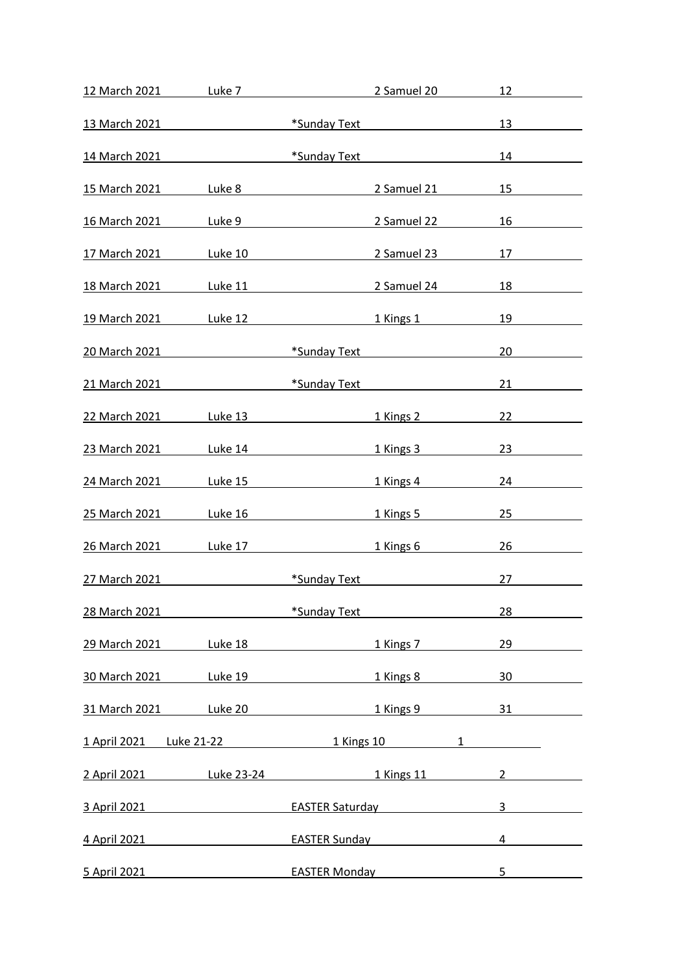| 12 March 2021 Luke 7                                   |                                                 |                                                                                                                                                                                                                                | 2 Samuel 20                                                 | 12                    |
|--------------------------------------------------------|-------------------------------------------------|--------------------------------------------------------------------------------------------------------------------------------------------------------------------------------------------------------------------------------|-------------------------------------------------------------|-----------------------|
| 13 March 2021                                          |                                                 |                                                                                                                                                                                                                                | *Sunday Text <b>All Accords</b> *Sunday Text                | 13                    |
|                                                        |                                                 |                                                                                                                                                                                                                                | 14 March 2021 <b>Exercise State of the Sunday Text</b> Text | 14 and $\overline{a}$ |
| 15 March 2021                                          |                                                 | Luke 8 and the state of the state of the state of the state of the state of the state of the state of the state                                                                                                                | 2 Samuel 21                                                 | 15                    |
| 16 March 2021 Luke 9                                   |                                                 |                                                                                                                                                                                                                                | 2 Samuel 22                                                 | 16                    |
| 17 March 2021                                          |                                                 |                                                                                                                                                                                                                                | Luke 10 2 Samuel 23                                         | 17 — 200              |
| 18 March 2021                                          | Luke 11                                         |                                                                                                                                                                                                                                | <u>2 Samuel 24</u>                                          | 18                    |
| 19 March 2021 Luke 12                                  |                                                 |                                                                                                                                                                                                                                | 1 Kings 1                                                   | 19                    |
| 20 March 2021 <b>Exercise State of the Sunday Text</b> |                                                 |                                                                                                                                                                                                                                |                                                             | 20                    |
| 21 March 2021                                          |                                                 |                                                                                                                                                                                                                                | *Sunday Text <b>Existence Existence EXIST</b>               | 21                    |
| <u>22 March 2021 Luke 13</u>                           |                                                 |                                                                                                                                                                                                                                | 1 Kings 2                                                   | 22                    |
| 23 March 2021                                          |                                                 | Luke 14 and the state of the state of the state of the state of the state of the state of the state of the state of the state of the state of the state of the state of the state of the state of the state of the state of th | 1 Kings 3                                                   | 23 and $\sim$         |
| 24 March 2021 Luke 15                                  |                                                 |                                                                                                                                                                                                                                | 1 Kings 4                                                   | 24                    |
| 25 March 2021 Luke 16                                  |                                                 |                                                                                                                                                                                                                                | 1 Kings 5                                                   | 25                    |
| 26 March 2021                                          | Luke 17                                         |                                                                                                                                                                                                                                | 1 Kings 6                                                   | 26                    |
| 27 March 2021 and the March 2021                       |                                                 |                                                                                                                                                                                                                                | *Sunday Text <b>All Accords</b> *Sunday Text                | 27                    |
| 28 March 2021                                          |                                                 | *Sunday Text                                                                                                                                                                                                                   |                                                             | 28                    |
| 29 March 2021 Luke 18                                  |                                                 |                                                                                                                                                                                                                                | 1 Kings 7                                                   | 29                    |
| 30 March 2021                                          |                                                 |                                                                                                                                                                                                                                | Luke 19 and 1 and 1 kings 8                                 | 30                    |
| 31 March 2021 Luke 20                                  |                                                 |                                                                                                                                                                                                                                | <b>1 Kings 9</b>                                            | 31                    |
| <u>1 April 2021 Luke 21-22 1 Kings 10</u>              |                                                 |                                                                                                                                                                                                                                | $1 \quad$                                                   |                       |
| 2 April 2021                                           |                                                 | <u>Luke 23-24</u> 2004                                                                                                                                                                                                         | 1 Kings 11                                                  | $2^{\circ}$           |
| 3 April 2021                                           |                                                 |                                                                                                                                                                                                                                | EASTER Saturday <b>EXAMPLE</b>                              | 3                     |
|                                                        |                                                 |                                                                                                                                                                                                                                |                                                             | 4                     |
| 4 April 2021                                           | <u> 1990 - John Barnett, fransk politiker (</u> | <b>EASTER Sunday</b>                                                                                                                                                                                                           |                                                             |                       |
| 5 April 2021                                           |                                                 | <b>EASTER Monday</b>                                                                                                                                                                                                           |                                                             | 5                     |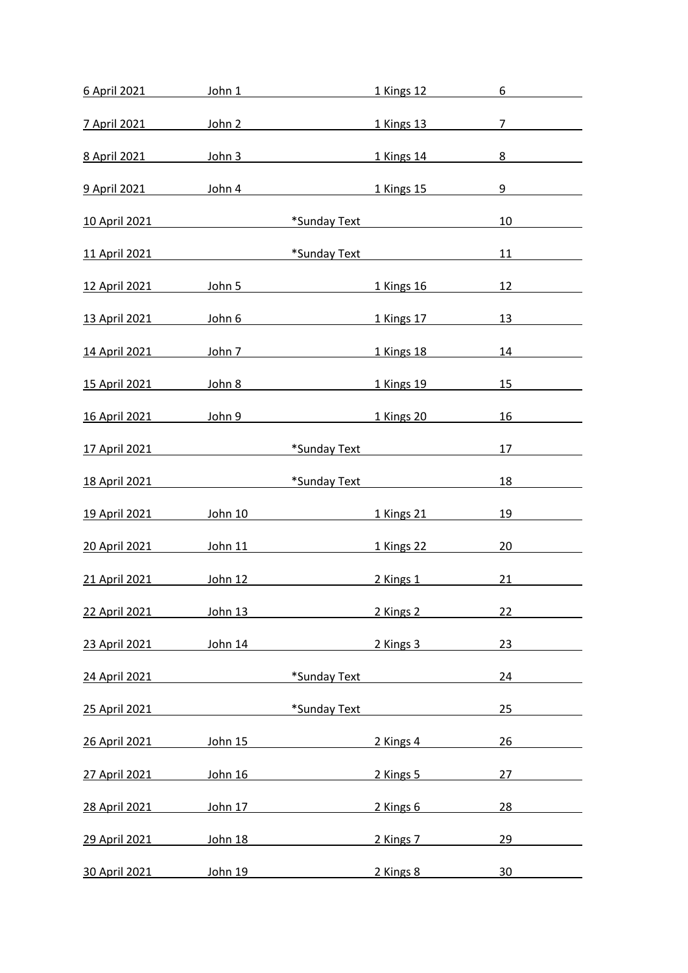| 6 April 2021 John 1       |         |                                                                                                                                                                                                                               | 1 Kings 12                                   | 6                |
|---------------------------|---------|-------------------------------------------------------------------------------------------------------------------------------------------------------------------------------------------------------------------------------|----------------------------------------------|------------------|
|                           |         | 7 April 2021 John 2                                                                                                                                                                                                           | 1 Kings 13                                   | 7                |
|                           |         | 8 April 2021 John 3 1 Kings 14                                                                                                                                                                                                |                                              | $8 \overline{)}$ |
|                           |         | 9 April 2021 John 4 1 Kings 15                                                                                                                                                                                                |                                              | 9                |
|                           |         |                                                                                                                                                                                                                               |                                              |                  |
| <u>10 April 2021</u> 2021 |         |                                                                                                                                                                                                                               | *Sunday Text <b>All Accords</b> *Sunday Text | 10               |
|                           |         | 11 April 2021 <b>Exercise 1 April 2021 Exercise 1 April 2021</b>                                                                                                                                                              |                                              | 11 \,            |
|                           |         | 12 April 2021 10hn 5 1 Kings 16                                                                                                                                                                                               |                                              | 12               |
|                           |         | 13 April 2021 16hn 6 1 Kings 17                                                                                                                                                                                               |                                              | 13 and $\sim$    |
|                           |         | 14 April 2021 John 7 1 Kings 18                                                                                                                                                                                               |                                              | 14 \,            |
|                           |         | 15 April 2021 16hn 8 16hn 9 16hn 9 16hn 9 16hn 9 16hn 9 16hn 9 16hn 9 16hn 9 16hn 9 16hn 9 16hn 9 16hn 9 16hn 9 16hn 9 16hn 9 16hn 9 16hn 9 16hn 9 16hn 9 16hn 9 16hn 9 16hn 9 16hn 9 16hn 9 16hn 9 16hn 9 16hn 9 16hn 9 16hn |                                              | 15               |
|                           |         |                                                                                                                                                                                                                               | 1 Kings 20                                   | 16               |
| <u>17 April 2021</u>      |         | <b>Example 12 Text</b> *Sunday Text                                                                                                                                                                                           |                                              | 17               |
|                           |         | 18 April 2021 <b>18 April 2021 18 April 2021</b>                                                                                                                                                                              |                                              | 18               |
| 19 April 2021 John 10     |         | <b>1 Kings 21</b>                                                                                                                                                                                                             |                                              | 19               |
| 20 April 2021 John 11     |         |                                                                                                                                                                                                                               | <b>1 Kings 22</b>                            | 20               |
|                           |         |                                                                                                                                                                                                                               |                                              | 21               |
| 22 April 2021             | John 13 |                                                                                                                                                                                                                               | 2 Kings 2                                    | 22               |
| 23 April 2021             | John 14 |                                                                                                                                                                                                                               | 2 Kings 3                                    | 23               |
| 24 April 2021             |         | *Sunday Text                                                                                                                                                                                                                  |                                              | 24               |
| 25 April 2021             |         | *Sunday Text                                                                                                                                                                                                                  |                                              | 25               |
| 26 April 2021             | John 15 |                                                                                                                                                                                                                               | 2 Kings 4                                    | 26               |
| 27 April 2021             | John 16 |                                                                                                                                                                                                                               | 2 Kings 5                                    | 27               |
| 28 April 2021             | John 17 |                                                                                                                                                                                                                               | 2 Kings 6                                    | 28               |
| 29 April 2021             | John 18 |                                                                                                                                                                                                                               | 2 Kings 7                                    | 29               |
| 30 April 2021             | John 19 |                                                                                                                                                                                                                               | 2 Kings 8                                    | 30               |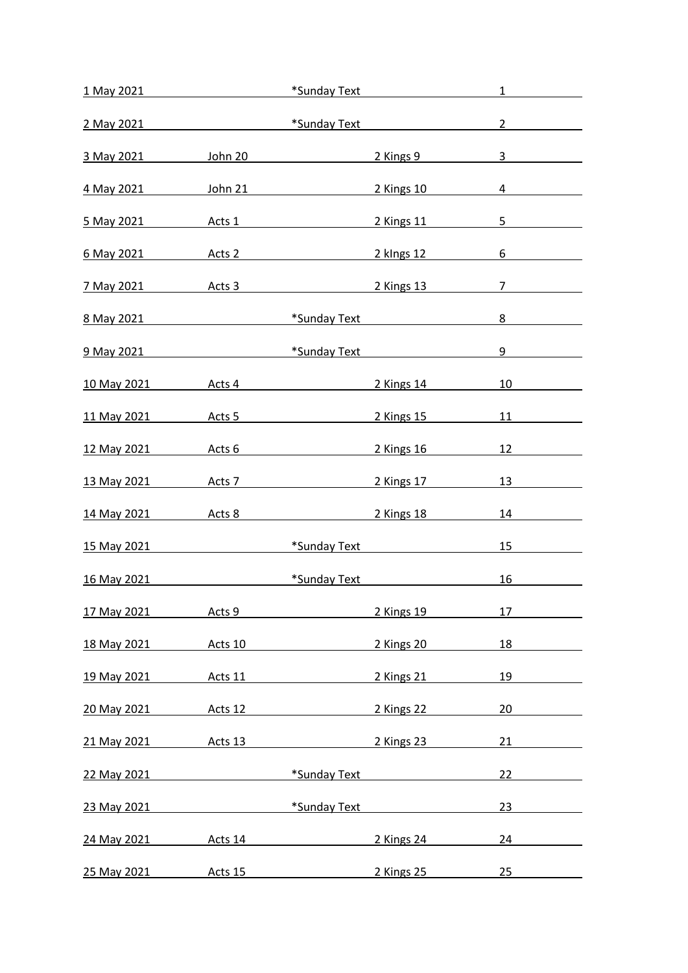| 1 May 2021                |                | *Sunday Text                                                                                                                                                                                                                         |                                              | $\mathbf{1}$                   |
|---------------------------|----------------|--------------------------------------------------------------------------------------------------------------------------------------------------------------------------------------------------------------------------------------|----------------------------------------------|--------------------------------|
| 2 May 2021                |                | <u>xample of the set of the set of the set of the set of the set of the set of the set of the set of the set of the set of the set of the set of the set of the set of the set of the set of the set of the set of the set of th</u> |                                              | $2^{\circ}$                    |
|                           |                | <u>3 May 2021 10hn 20 10hn 20 2 Kings 9</u>                                                                                                                                                                                          |                                              | $3 \left( \frac{1}{2} \right)$ |
| 4 May 2021                |                | John 21 and the state of the state of the state of the state of the state of the state of the state of the state of the state of the state of the state of the state of the state of the state of the state of the state of th       | 2 Kings 10                                   | $4\overline{ }$                |
|                           |                | <u>5 May 2021   Acts 1</u>                                                                                                                                                                                                           | 2 Kings 11                                   | 5                              |
|                           |                | <u>6 May 2021 Acts 2 2 Nings 12</u>                                                                                                                                                                                                  |                                              | 6                              |
| 7 May 2021 Acts 3         |                | <b>Example 2</b> Kings 13                                                                                                                                                                                                            |                                              | 7 <sup>7</sup>                 |
| 8 May 2021 2021           |                |                                                                                                                                                                                                                                      | *Sunday Text <b>All Accords</b> *Sunday Text | 8                              |
|                           |                | 9 May 2021 <b>Exercise Sunday Text</b> *Sunday Text                                                                                                                                                                                  |                                              | 9                              |
|                           |                | 10 May 2021 Acts 4                                                                                                                                                                                                                   | 2 Kings 14                                   | 10                             |
|                           |                | 11 May 2021 4cts 5                                                                                                                                                                                                                   | 2 Kings 15                                   | 11                             |
| <u>12 May 2021 Acts 6</u> |                | <b>2 Kings 16</b>                                                                                                                                                                                                                    |                                              | 12                             |
| <u>13 May 2021 Acts 7</u> |                |                                                                                                                                                                                                                                      | <u>2 Kings 17</u>                            | 13                             |
| 14 May 2021 Acts 8        |                |                                                                                                                                                                                                                                      | 2 Kings 18                                   | 14                             |
| <b>15 May 2021</b>        |                | *Sunday Text                                                                                                                                                                                                                         |                                              | 15 <sub>1</sub>                |
| <u>16 May 2021</u> 2021   |                |                                                                                                                                                                                                                                      | *Sunday Text <b>Exercise Sunday Text</b>     | 16                             |
| 17 May 2021               | Acts 9         |                                                                                                                                                                                                                                      | 2 Kings 19                                   | 17                             |
| 18 May 2021               | Acts 10        |                                                                                                                                                                                                                                      | 2 Kings 20                                   | 18                             |
| 19 May 2021               | Acts 11        |                                                                                                                                                                                                                                      | 2 Kings 21                                   | 19                             |
| 20 May 2021               | Acts 12        |                                                                                                                                                                                                                                      | 2 Kings 22                                   | 20                             |
| 21 May 2021               | Acts 13        |                                                                                                                                                                                                                                      | 2 Kings 23                                   | 21                             |
| 22 May 2021               |                | *Sunday Text                                                                                                                                                                                                                         |                                              | 22                             |
| 23 May 2021               |                | *Sunday Text                                                                                                                                                                                                                         |                                              | 23                             |
| 24 May 2021               | Acts 14        |                                                                                                                                                                                                                                      | 2 Kings 24                                   | 24                             |
| 25 May 2021               | <b>Acts 15</b> |                                                                                                                                                                                                                                      | 2 Kings 25                                   | 25                             |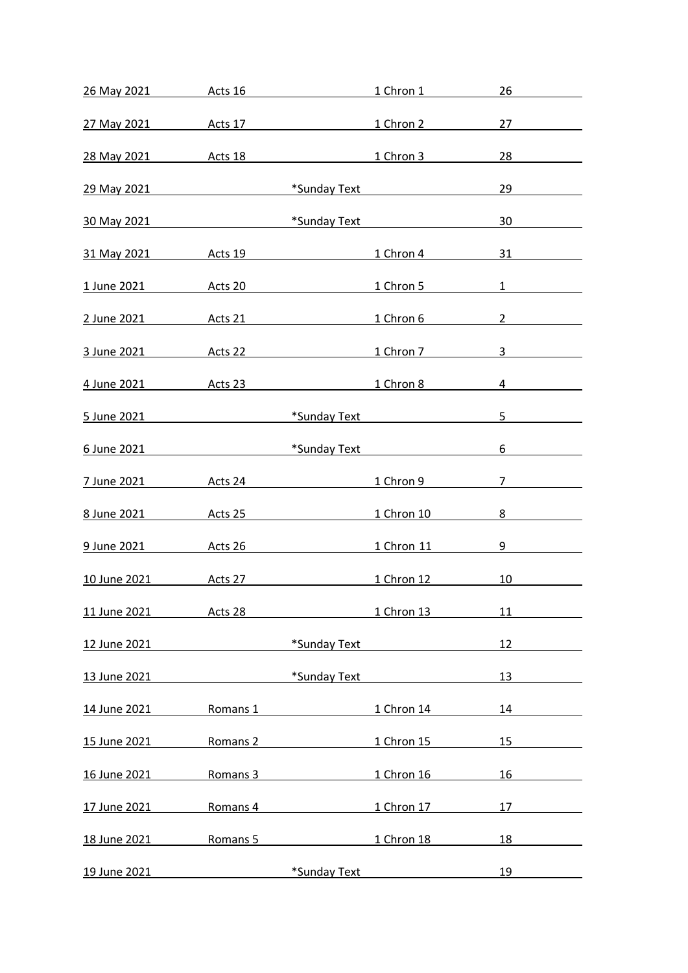| 26 May 2021 Acts 16                                              |                     |              | <b>1 Chron 1</b>  | 26                             |
|------------------------------------------------------------------|---------------------|--------------|-------------------|--------------------------------|
|                                                                  |                     |              |                   | 27                             |
| <u>28 May 2021 Acts 18</u> 28 May 2021 2021 2021 Acts 18         |                     |              |                   | 28 and $\sim$                  |
|                                                                  |                     |              |                   |                                |
| 29 May 2021 <b>Example 3 May 2021 Example 3 May 2021</b>         |                     |              |                   | 29                             |
| 30 May 2021 <b>Exercise Sunday Text</b> *Sunday Text             |                     |              |                   | 30                             |
| 31 May 2021 4cts 19 1 Chron 4                                    |                     |              |                   | 31                             |
| 1 June 2021 <b>Acts 20</b> 1 Chron 5                             |                     |              |                   | $1 \quad \blacksquare$         |
| 2 June 2021                                                      |                     | Acts 21      | 1 Chron 6         | $2 \left( \frac{1}{2} \right)$ |
| <u>3 June 2021</u> Acts 22 1 Chron 7                             |                     |              |                   | $3 \sim 3$                     |
| 4 June 2021 4 Acts 23 4 Acts 23 4 Chron 8                        |                     |              |                   | $4\overline{ }$                |
| 5 June 2021 <b>Exercise Service State of the Sunday Text</b>     |                     |              |                   | 5                              |
| <u>6 June 2021</u> <b>Example 2021 Example 2021 Example 2021</b> |                     |              |                   | $6\overline{6}$                |
|                                                                  |                     |              | 1 Chron 9         | 7                              |
| <u>8 June 2021 Acts 25</u>                                       |                     |              | 1 Chron 10        | 8                              |
| 9 June 2021 Acts 26                                              |                     |              | <u>1 Chron 11</u> | 9                              |
| <u>10 June 2021   Acts 27</u>                                    |                     |              | 1 Chron 12        | 10                             |
| 11 June 2021                                                     | Acts 28             |              | 1 Chron 13        | 11                             |
| 12 June 2021                                                     |                     | *Sunday Text |                   | 12                             |
| 13 June 2021                                                     |                     | *Sunday Text |                   | 13                             |
| 14 June 2021                                                     | Romans 1            |              | 1 Chron 14        | 14                             |
| 15 June 2021                                                     | Romans 2            |              | 1 Chron 15        | 15                             |
| 16 June 2021                                                     | Romans 3            |              | 1 Chron 16        | 16                             |
| 17 June 2021                                                     | Romans 4            |              | 1 Chron 17        | 17                             |
| 18 June 2021                                                     | Romans <sub>5</sub> |              | 1 Chron 18        | 18                             |
| 19 June 2021                                                     |                     | *Sunday Text |                   | 19                             |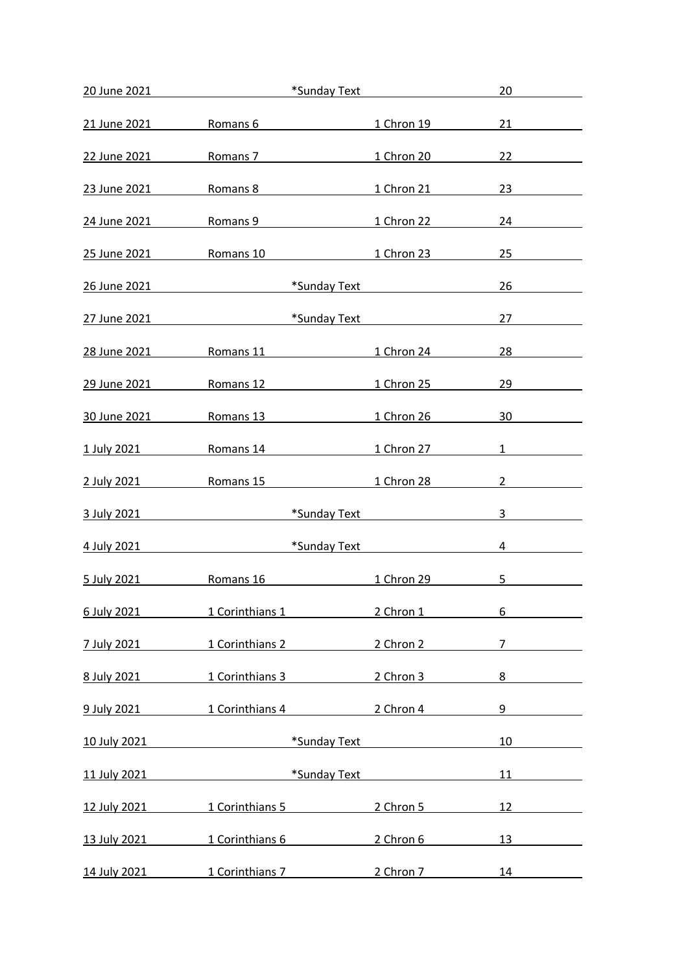| 20 June 2021          | *Sunday Text                                                                                                                                                                                                                  |                                                     | 20                                       |
|-----------------------|-------------------------------------------------------------------------------------------------------------------------------------------------------------------------------------------------------------------------------|-----------------------------------------------------|------------------------------------------|
| 21 June 2021          | Romans 6                                                                                                                                                                                                                      | 1 Chron 19                                          | 21                                       |
| 22 June 2021          |                                                                                                                                                                                                                               | Romans 7 1 Chron 20                                 | 22                                       |
| 23 June 2021          | Romans 8                                                                                                                                                                                                                      | 1 Chron 21                                          | 23                                       |
| 24 June 2021          | Romans 9                                                                                                                                                                                                                      | 1 Chron 22                                          | 24                                       |
|                       | 25 June 2021 <b>Romans 10</b> 25 June 2021                                                                                                                                                                                    |                                                     | 25                                       |
|                       | 26 June 2021 and the United States and the United States and the United States and the United States and the U                                                                                                                | *Sunday Text <b>Access 1986</b>                     | 26                                       |
|                       | <u>27 June 2021</u> 2021                                                                                                                                                                                                      | *Sunday Text <b>Account Account Account Account</b> | 27                                       |
|                       | <u>28 June 2021 Romans 11</u>                                                                                                                                                                                                 | 1 Chron 24                                          | 28                                       |
| 29 June 2021          | Romans 12 and the state of the state of the state of the state of the state of the state of the state of the state of the state of the state of the state of the state of the state of the state of the state of the state of | 1 Chron 25                                          | 29                                       |
| 30 June 2021          | Romans 13 <b>Romans</b> 13                                                                                                                                                                                                    | 1 Chron 26                                          | 30                                       |
| 1 July 2021           |                                                                                                                                                                                                                               | Romans 14 1 Chron 27                                | $1 \qquad \qquad \boxed{\qquad \qquad }$ |
|                       | 2 July 2021 Romans 15                                                                                                                                                                                                         | 1 Chron 28                                          | $2 \left( \frac{1}{2} \right)$           |
| 3 July 2021           |                                                                                                                                                                                                                               | *Sunday Text <b>Exercise 2018</b>                   | 3                                        |
| 4 July 2021           |                                                                                                                                                                                                                               | *Sunday Text <b>Market</b>                          | $4 \quad$                                |
| 5 July 2021 Romans 16 |                                                                                                                                                                                                                               | <b>1 Chron 29</b>                                   | 5 <sub>5</sub>                           |
| 6 July 2021           | <b>1 Corinthians 1</b>                                                                                                                                                                                                        | 2 Chron 1                                           | 6                                        |
| 7 July 2021           | 1 Corinthians 2                                                                                                                                                                                                               | 2 Chron 2                                           | $7\overline{ }$                          |
|                       | 8 July 2021 1 Corinthians 3 2 Chron 3                                                                                                                                                                                         |                                                     | 8                                        |
|                       | 9 July 2021 1 Corinthians 4 2 Chron 4                                                                                                                                                                                         |                                                     | $9 \quad \text{or}$                      |
| 10 July 2021          | <u> 1980 - Johann Barbara, martin d</u>                                                                                                                                                                                       | *Sunday Text <b>Account Contract Sunday Text</b>    | 10                                       |
| 11 July 2021          |                                                                                                                                                                                                                               | *Sunday Text <b>Exercise 2018</b>                   |                                          |
| 12 July 2021          | 1 Corinthians 5                                                                                                                                                                                                               | 2 Chron 5                                           | 12                                       |
| 13 July 2021          | 1 Corinthians 6                                                                                                                                                                                                               | 2 Chron 6                                           | 13                                       |
|                       | 14 July 2021 1 Corinthians 7 2 Chron 7                                                                                                                                                                                        |                                                     | 14 7                                     |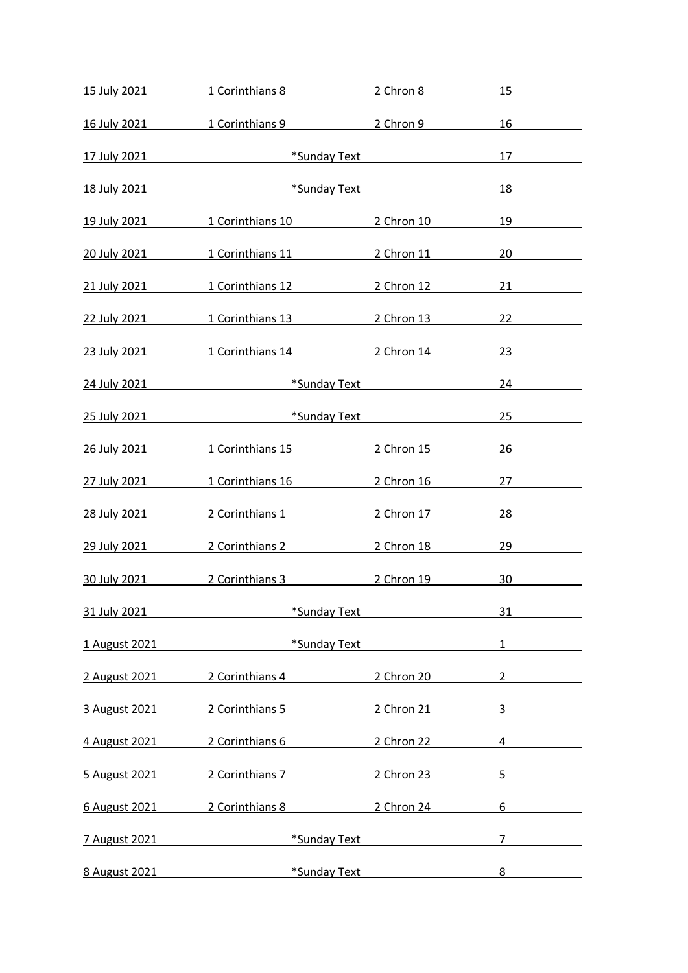| <u>15 July 2021 2021 15 July 2021</u> |                                                                                                                       | 1 Corinthians 8 2 Chron 8   | 15                             |  |
|---------------------------------------|-----------------------------------------------------------------------------------------------------------------------|-----------------------------|--------------------------------|--|
|                                       | 16 July 2021 1 Corinthians 9 2 Chron 9                                                                                |                             | 16                             |  |
|                                       | 17 July 2021 <b>Exercise State of the Sunday Text</b>                                                                 |                             | 17                             |  |
|                                       | 18 July 2021 <b>Exercise State of the State of Sunday Text</b>                                                        |                             | 18 7                           |  |
|                                       | 19 July 2021 1 Corinthians 10 2 Chron 10                                                                              |                             | 19                             |  |
|                                       |                                                                                                                       |                             |                                |  |
| 20 July 2021                          |                                                                                                                       | 1 Corinthians 11 2 Chron 11 | 20                             |  |
|                                       | 21 July 2021 1 Corinthians 12 2 Chron 12                                                                              |                             | 21                             |  |
|                                       | 22 July 2021 1 Corinthians 13 2 Chron 13                                                                              |                             | 22                             |  |
|                                       | 23 July 2021 1 Corinthians 14 2 Chron 14                                                                              |                             | 23 and $\sim$                  |  |
|                                       | 24 July 2021 <b>Exercise State of the Sunday Text</b>                                                                 |                             | 24                             |  |
|                                       | 25 July 2021 <b>19 Table 10 YO 4 Strategy</b> 7 May 10 May 10 May 10 May 10 May 10 May 10 May 10 May 10 May 10 May 10 |                             | 25                             |  |
|                                       | 26 July 2021 1 Corinthians 15 2 Chron 15                                                                              |                             | 26                             |  |
|                                       | 27 July 2021 1 Corinthians 16 2 Chron 16                                                                              |                             | 27                             |  |
| 28 July 2021                          | 2 Corinthians 1                                                                                                       | 2 Chron 17                  | 28                             |  |
| 29 July 2021                          |                                                                                                                       | 2 Corinthians 2 2 Chron 18  |                                |  |
|                                       | 30 July 2021 2 Corinthians 3                                                                                          | 2 Chron 19                  | 30                             |  |
| 31 July 2021                          | *Sunday Text                                                                                                          |                             | 31                             |  |
| 1 August 2021                         | *Sunday Text                                                                                                          |                             | $1 \qquad \qquad$              |  |
| 2 August 2021                         | 2 Corinthians 4                                                                                                       | 2 Chron 20                  | $2 \left( \frac{1}{2} \right)$ |  |
| 3 August 2021                         | 2 Corinthians 5 2 Chron 21                                                                                            |                             | $3 \quad \blacksquare$         |  |
|                                       | 4 August 2021 2 Corinthians 6                                                                                         | 2 Chron 22                  | 4                              |  |
| 5 August 2021                         | 2 Corinthians 7 2 Chron 23                                                                                            |                             | 5 <sub>5</sub>                 |  |
|                                       | 6 August 2021 2 Corinthians 8 2 Chron 24                                                                              |                             | 6                              |  |
| 7 August 2021                         | *Sunday Text                                                                                                          |                             | 7                              |  |
| 8 August 2021                         | *Sunday Text                                                                                                          |                             | $8 - 8$                        |  |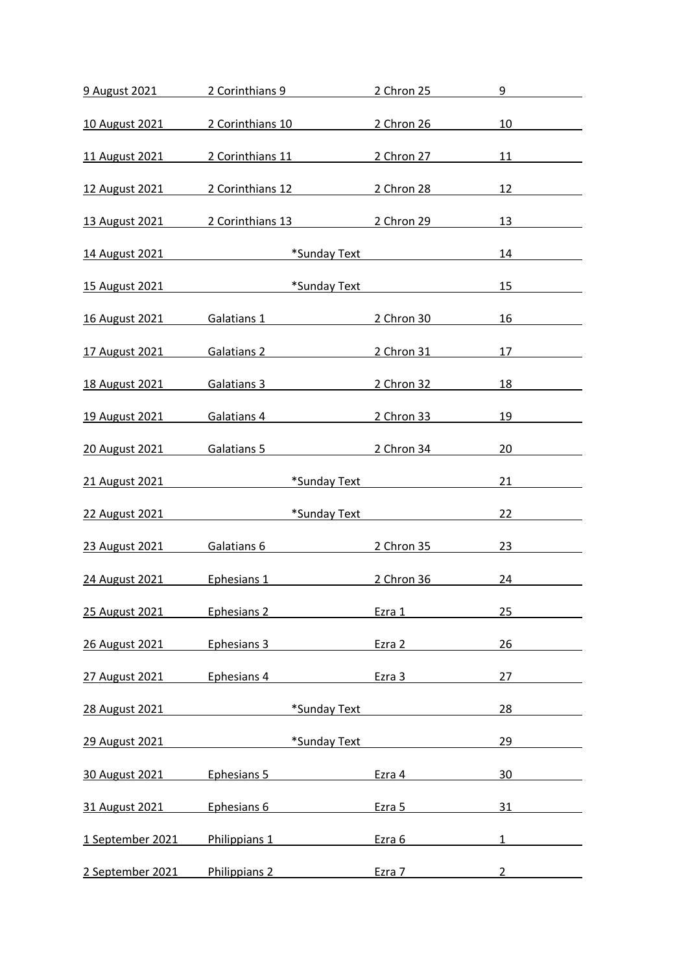| 9 August 2021              |                               | 2 Corinthians 9                                                                                                                                                                                                               | 2 Chron 25                                   | 9                     |
|----------------------------|-------------------------------|-------------------------------------------------------------------------------------------------------------------------------------------------------------------------------------------------------------------------------|----------------------------------------------|-----------------------|
| 10 August 2021             |                               | 2 Corinthians 10                                                                                                                                                                                                              | 2 Chron 26                                   | 10                    |
| 11 August 2021             |                               | 2 Corinthians 11 2 Chron 27                                                                                                                                                                                                   |                                              |                       |
|                            |                               |                                                                                                                                                                                                                               |                                              |                       |
| 12 August 2021             |                               | 2 Corinthians 12 2 Chron 28                                                                                                                                                                                                   |                                              | 12                    |
| 13 August 2021             |                               | 2 Corinthians 13                                                                                                                                                                                                              | 2 Chron 29                                   | 13                    |
| 14 August 2021             | <b>Example 18 Sunday Text</b> |                                                                                                                                                                                                                               |                                              | 14 and $\overline{a}$ |
| 15 August 2021             | *Sunday Text                  |                                                                                                                                                                                                                               |                                              | 15                    |
| <u>16 August 2021</u>      |                               | Galatians 1 and 1 and 1 and 1 and 1 and 1 and 1 and 1 and 1 and 1 and 1 and 1 and 1 and 1 and 1 and 1 and 1 and 1 and 1 and 1 and 1 and 1 and 1 and 1 and 1 and 1 and 1 and 1 and 1 and 1 and 1 and 1 and 1 and 1 and 1 and 1 | 2 Chron 30                                   | 16                    |
| 17 August 2021             |                               | Galatians 2 2 Chron 31                                                                                                                                                                                                        |                                              | 17                    |
| <u>18 August 2021</u>      |                               | Galatians 3 and 1997 and 1997 and 1997 and 1997 and 1997 and 1997 and 1997 and 1997 and 1997 and 1997 and 1997                                                                                                                | 2 Chron 32                                   | 18                    |
| 19 August 2021             | Galatians 4                   |                                                                                                                                                                                                                               | 2 Chron 33                                   | 19                    |
| 20 August 2021             | Galatians 5                   |                                                                                                                                                                                                                               | 2 Chron 34                                   | 20                    |
| 21 August 2021             |                               |                                                                                                                                                                                                                               | *Sunday Text <b>All Accords</b> *Sunday Text | 21                    |
| 22 August 2021             | <b>Example 12 Sunday Text</b> |                                                                                                                                                                                                                               |                                              | 22                    |
| 23 August 2021             | Galatians 6                   |                                                                                                                                                                                                                               | 2 Chron 35                                   | 23                    |
| 24 August 2021 Ephesians 1 |                               | <u> 1990 - Johann Barnett, f</u>                                                                                                                                                                                              | 2 Chron 36                                   | 24                    |
| 25 August 2021             | Ephesians 2                   |                                                                                                                                                                                                                               | Ezra 1                                       | 25                    |
| 26 August 2021             | Ephesians 3                   |                                                                                                                                                                                                                               | Ezra 2                                       | 26                    |
| 27 August 2021             | Ephesians 4                   |                                                                                                                                                                                                                               | Ezra 3                                       | 27                    |
| 28 August 2021             |                               | *Sunday Text                                                                                                                                                                                                                  |                                              | 28                    |
| 29 August 2021             |                               | *Sunday Text                                                                                                                                                                                                                  |                                              | 29                    |
| 30 August 2021             | Ephesians 5                   |                                                                                                                                                                                                                               | Ezra 4                                       | 30                    |
| 31 August 2021             | Ephesians 6                   |                                                                                                                                                                                                                               | Ezra 5                                       | 31                    |
| 1 September 2021           | Philippians 1                 |                                                                                                                                                                                                                               | Ezra 6                                       | $\mathbf{1}$          |
| 2 September 2021           | Philippians 2                 |                                                                                                                                                                                                                               | Ezra 7                                       | $2^{\circ}$           |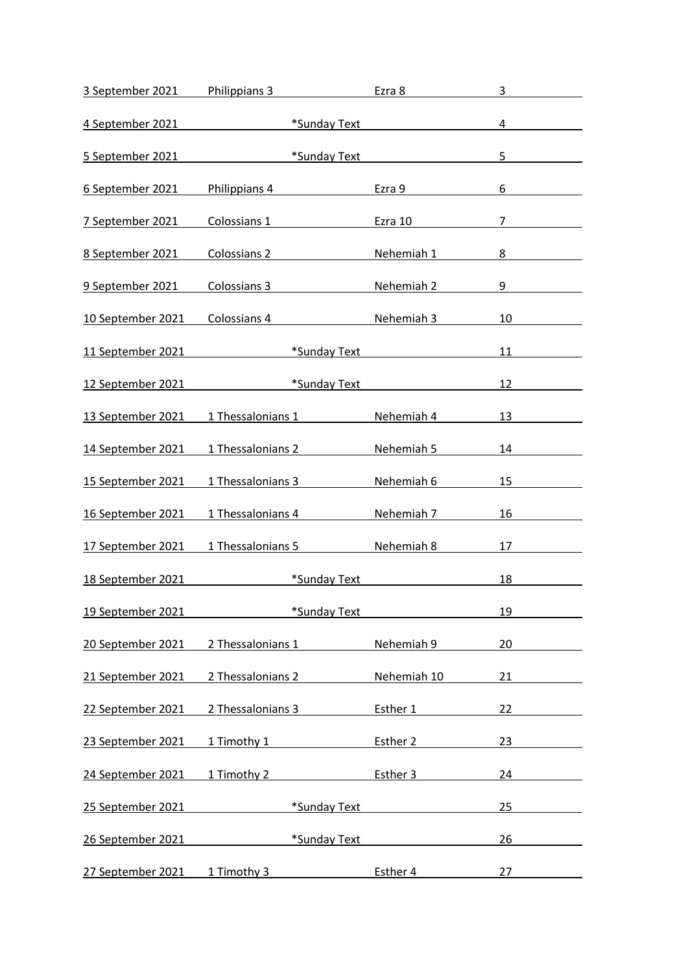| 3 September 2021  | Philippians 3               | Ezra 8                                       | 3              |
|-------------------|-----------------------------|----------------------------------------------|----------------|
| 4 September 2021  |                             | *Sunday Text <b>All Accords</b> *Sunday Text | 4              |
| 5 September 2021  | *Sunday Text                |                                              | 5              |
| 6 September 2021  | Philippians 4               | Ezra 9                                       | 6              |
| 7 September 2021  | Colossians 1                | Ezra 10                                      | $\overline{7}$ |
|                   |                             |                                              |                |
| 8 September 2021  | Colossians 2                | Nehemiah 1                                   | 8              |
| 9 September 2021  | Colossians 3                | Nehemiah 2                                   | 9              |
| 10 September 2021 | Colossians 4                | Nehemiah 3                                   | 10             |
| 11 September 2021 | *Sunday Text                |                                              | 11             |
| 12 September 2021 | *Sunday Text                |                                              | 12             |
| 13 September 2021 | 1 Thessalonians 1           | Nehemiah 4                                   | 13             |
| 14 September 2021 | 1 Thessalonians 2           | Nehemiah 5                                   | 14             |
| 15 September 2021 | 1 Thessalonians 3           | Nehemiah 6                                   | 15             |
| 16 September 2021 | 1 Thessalonians 4           | Nehemiah 7                                   | 16             |
| 17 September 2021 | 1 Thessalonians 5           | Nehemiah 8                                   | 17             |
| 18 September 2021 | *Sunday Text                |                                              | 18             |
| 19 September 2021 | *Sunday Text                |                                              | 19             |
| 20 September 2021 | 2 Thessalonians 1           | Nehemiah 9                                   | 20             |
| 21 September 2021 | 2 Thessalonians 2           | Nehemiah 10                                  | 21             |
| 22 September 2021 | 2 Thessalonians 3           | Esther 1                                     | 22             |
| 23 September 2021 | 1 Timothy 1                 | Esther 2                                     | 23             |
| 24 September 2021 | 1 Timothy 2 and 1 Timothy 2 | Esther 3                                     | 24             |
| 25 September 2021 | *Sunday Text                |                                              | 25             |
| 26 September 2021 | *Sunday Text                |                                              | 26             |
| 27 September 2021 | 1 Timothy 3                 | Esther 4                                     | 27             |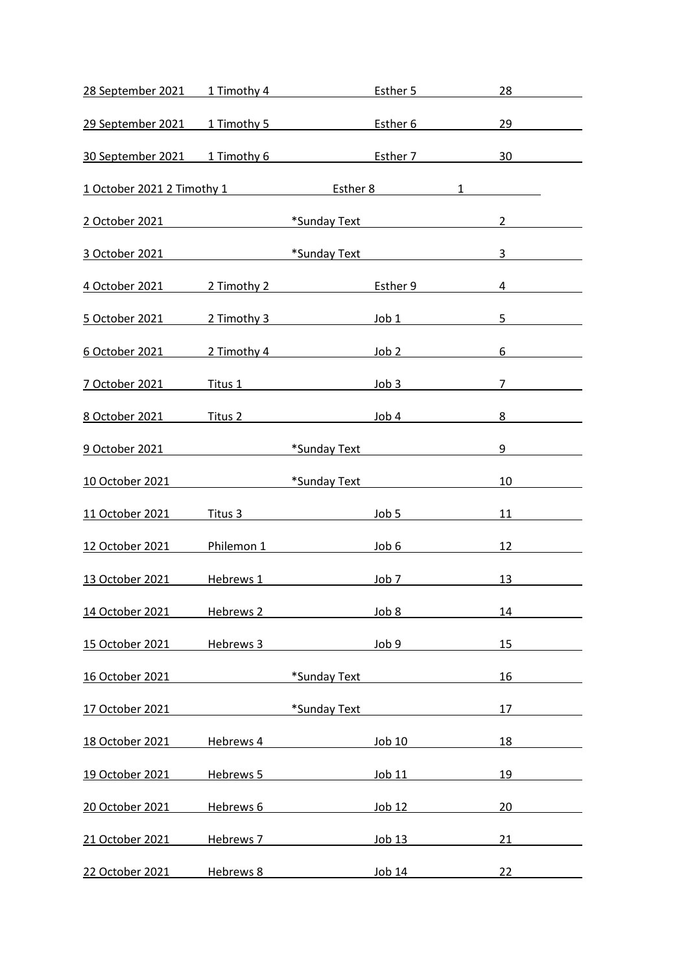| 28 September 2021 1 Timothy 4 Esther 5                                                                                                                                                                                              |           |                                           |        | 28                                                                                                                                                                                                                                                                                                                                                                                          |  |
|-------------------------------------------------------------------------------------------------------------------------------------------------------------------------------------------------------------------------------------|-----------|-------------------------------------------|--------|---------------------------------------------------------------------------------------------------------------------------------------------------------------------------------------------------------------------------------------------------------------------------------------------------------------------------------------------------------------------------------------------|--|
| 29 September 2021 1 Timothy 5 Esther 6                                                                                                                                                                                              |           |                                           |        | 29                                                                                                                                                                                                                                                                                                                                                                                          |  |
| 30 September 2021 1 Timothy 6 Esther 7 30                                                                                                                                                                                           |           |                                           |        |                                                                                                                                                                                                                                                                                                                                                                                             |  |
|                                                                                                                                                                                                                                     |           |                                           |        |                                                                                                                                                                                                                                                                                                                                                                                             |  |
| 1 October 2021 2 Timothy 1 Esther 8 1                                                                                                                                                                                               |           |                                           |        |                                                                                                                                                                                                                                                                                                                                                                                             |  |
| 2 October 2021 <b>Marshall Marson Community</b> *Sunday Text                                                                                                                                                                        |           |                                           |        | $2 \left( \frac{1}{2} \right)$                                                                                                                                                                                                                                                                                                                                                              |  |
| 3 October 2021 2021                                                                                                                                                                                                                 |           | *Sunday Text <b>Executive Sunday Text</b> |        | $3 \left( \frac{1}{2} \right)$                                                                                                                                                                                                                                                                                                                                                              |  |
|                                                                                                                                                                                                                                     |           |                                           |        | $\overline{4}$                                                                                                                                                                                                                                                                                                                                                                              |  |
|                                                                                                                                                                                                                                     |           |                                           |        | 5 <sub>5</sub>                                                                                                                                                                                                                                                                                                                                                                              |  |
| <u>6 October 2021</u> 2 Timothy 4 3 Up 10 2                                                                                                                                                                                         |           |                                           |        | $6\overline{6}$                                                                                                                                                                                                                                                                                                                                                                             |  |
| <u>7 October 2021</u> Titus 1 Tritus 1 Titus 1 Tritus 1 Superior 1 Superior 1 Superior 1 Superior 1 Superior 1 Superior 1 Superior 1 Superior 1 Superior 1 Superior 1 Superior 1 Superior 1 Superior 1 Superior 1 Superior 1 Superi |           |                                           |        | $7\overline{ }$                                                                                                                                                                                                                                                                                                                                                                             |  |
| 8 October 2021 Titus 2 Titus 2 Job 4                                                                                                                                                                                                |           |                                           |        | 8                                                                                                                                                                                                                                                                                                                                                                                           |  |
| 9 October 2021 <b>Marshall Marson Street Street Sunday Text</b>                                                                                                                                                                     |           |                                           |        | $9 \left( \frac{1}{2} \right)$                                                                                                                                                                                                                                                                                                                                                              |  |
| 10 October 2021 <b>Annual Strategy 10 September 2021</b>                                                                                                                                                                            |           |                                           |        | 10                                                                                                                                                                                                                                                                                                                                                                                          |  |
| 11 October 2021                                                                                                                                                                                                                     |           | Titus 3 and 100 5                         |        | 11                                                                                                                                                                                                                                                                                                                                                                                          |  |
| 12 October 2021 Philemon 1 Dob 6                                                                                                                                                                                                    |           |                                           |        | 12                                                                                                                                                                                                                                                                                                                                                                                          |  |
| 13 October 2021 11 Hebrews 1 12 Hebrews 1 10b 7                                                                                                                                                                                     |           |                                           |        | 13 and $\overline{\phantom{a}}$ 13 and $\overline{\phantom{a}}$ 13 and $\overline{\phantom{a}}$ 13 and $\overline{\phantom{a}}$ 13 and $\overline{\phantom{a}}$ 13 and $\overline{\phantom{a}}$ 13 and $\overline{\phantom{a}}$ 13 and $\overline{\phantom{a}}$ 13 and $\overline{\phantom{a}}$ 13 and $\overline{\phantom{a}}$ 13 and $\overline{\phantom{a}}$ 13 and $\overline{\phantom$ |  |
| 14 October 2021                                                                                                                                                                                                                     | Hebrews 2 |                                           | Job 8  | 14                                                                                                                                                                                                                                                                                                                                                                                          |  |
| 15 October 2021                                                                                                                                                                                                                     | Hebrews 3 |                                           | Job 9  | 15                                                                                                                                                                                                                                                                                                                                                                                          |  |
| 16 October 2021                                                                                                                                                                                                                     |           | *Sunday Text                              |        | 16                                                                                                                                                                                                                                                                                                                                                                                          |  |
| 17 October 2021                                                                                                                                                                                                                     |           | *Sunday Text                              |        | 17                                                                                                                                                                                                                                                                                                                                                                                          |  |
| 18 October 2021                                                                                                                                                                                                                     | Hebrews 4 |                                           | Job 10 | 18                                                                                                                                                                                                                                                                                                                                                                                          |  |
| 19 October 2021                                                                                                                                                                                                                     | Hebrews 5 |                                           | Job 11 | 19                                                                                                                                                                                                                                                                                                                                                                                          |  |
| 20 October 2021                                                                                                                                                                                                                     | Hebrews 6 |                                           | Job 12 | 20                                                                                                                                                                                                                                                                                                                                                                                          |  |
| 21 October 2021                                                                                                                                                                                                                     | Hebrews 7 |                                           | Job 13 | 21                                                                                                                                                                                                                                                                                                                                                                                          |  |
| 22 October 2021                                                                                                                                                                                                                     | Hebrews 8 |                                           | Job 14 | 22                                                                                                                                                                                                                                                                                                                                                                                          |  |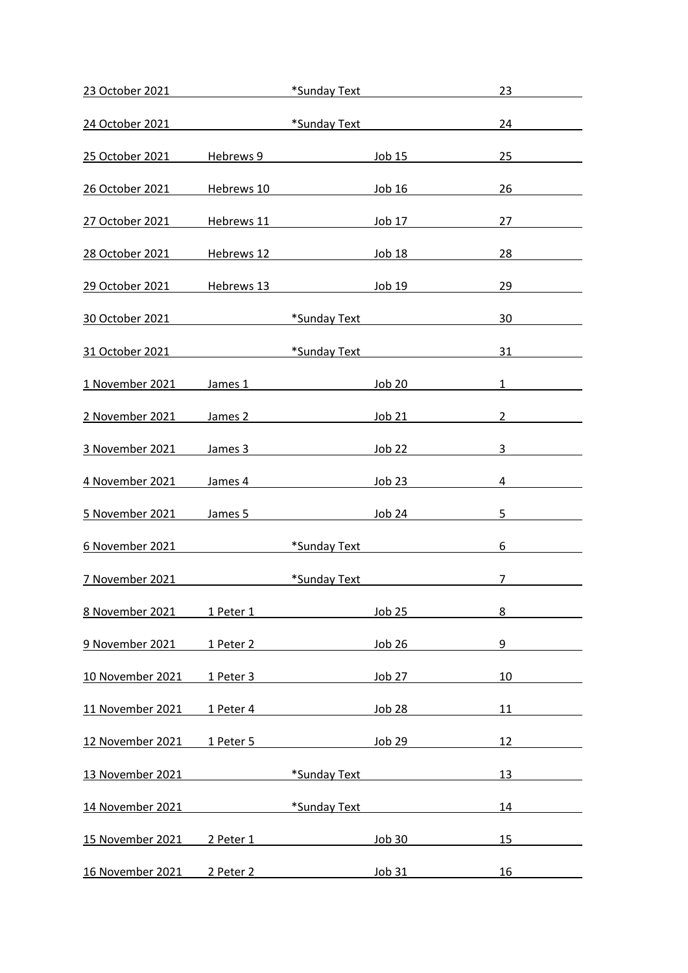| 23 October 2021  |                                              | *Sunday Text                                                                                                                                                                                                                   |               | 23                                                  |
|------------------|----------------------------------------------|--------------------------------------------------------------------------------------------------------------------------------------------------------------------------------------------------------------------------------|---------------|-----------------------------------------------------|
| 24 October 2021  |                                              | *Sunday Text                                                                                                                                                                                                                   |               | 24                                                  |
| 25 October 2021  |                                              | Hebrews 9                                                                                                                                                                                                                      |               | <u>Job 15</u><br>25                                 |
| 26 October 2021  | Hebrews 10                                   |                                                                                                                                                                                                                                | Job 16        | 26                                                  |
| 27 October 2021  | Hebrews 11                                   |                                                                                                                                                                                                                                | <u>Job 17</u> | 27                                                  |
| 28 October 2021  | Hebrews 12                                   | Job18                                                                                                                                                                                                                          |               | 28                                                  |
| 29 October 2021  | Hebrews 13                                   |                                                                                                                                                                                                                                |               | Job 19<br>29                                        |
| 30 October 2021  | <u> 1999 - Jan Jawa Barat, pamanganan pa</u> | *Sunday Text <b>Exercise Sunday Text</b>                                                                                                                                                                                       |               | 30                                                  |
| 31 October 2021  |                                              | <b>Example 18 Sunday Text</b> Text                                                                                                                                                                                             |               | 31                                                  |
| 1 November 2021  |                                              | James 1 and 1 and 1 and 1 and 1 and 1 and 1 and 1 and 1 and 1 and 1 and 1 and 1 and 1 and 1 and 1 and 1 and 1 and 1 and 1 and 1 and 1 and 1 and 1 and 1 and 1 and 1 and 1 and 1 and 1 and 1 and 1 and 1 and 1 and 1 and 1 and  | Job 20        | $1 \quad$                                           |
| 2 November 2021  |                                              | James 2 and the state of the state of the state of the state of the state of the state of the state of the state of the state of the state of the state of the state of the state of the state of the state of the state of th | Job 21        | $2^{\circ}$                                         |
| 3 November 2021  |                                              | James 3 and the state of the state of the state of the state of the state of the state of the state of the state of the state of the state of the state of the state of the state of the state of the state of the state of th | Job 22        | $\mathbf{3}$                                        |
| 4 November 2021  | James 4                                      |                                                                                                                                                                                                                                | Job 23        | 4                                                   |
| 5 November 2021  | James 5                                      |                                                                                                                                                                                                                                |               | Job 24<br>5                                         |
| 6 November 2021  |                                              | *Sunday Text                                                                                                                                                                                                                   |               | 6                                                   |
| 7 November 2021  |                                              | *Sunday Text                                                                                                                                                                                                                   |               | 7<br><u>and the state of the state of the state</u> |
| 8 November 2021  | 1 Peter 1                                    |                                                                                                                                                                                                                                | <b>Job 25</b> | 8                                                   |
| 9 November 2021  | 1 Peter 2                                    |                                                                                                                                                                                                                                | Job 26        | 9                                                   |
| 10 November 2021 | 1 Peter 3                                    |                                                                                                                                                                                                                                | Job 27        | 10                                                  |
| 11 November 2021 | 1 Peter 4                                    |                                                                                                                                                                                                                                | Job 28        | 11                                                  |
| 12 November 2021 | 1 Peter 5                                    |                                                                                                                                                                                                                                | Job 29        | 12                                                  |
| 13 November 2021 |                                              | *Sunday Text                                                                                                                                                                                                                   |               | 13                                                  |
| 14 November 2021 |                                              | *Sunday Text                                                                                                                                                                                                                   |               | 14                                                  |
| 15 November 2021 | 2 Peter 1                                    |                                                                                                                                                                                                                                | Job 30        | 15                                                  |
| 16 November 2021 | 2 Peter 2                                    |                                                                                                                                                                                                                                | Job 31        | 16                                                  |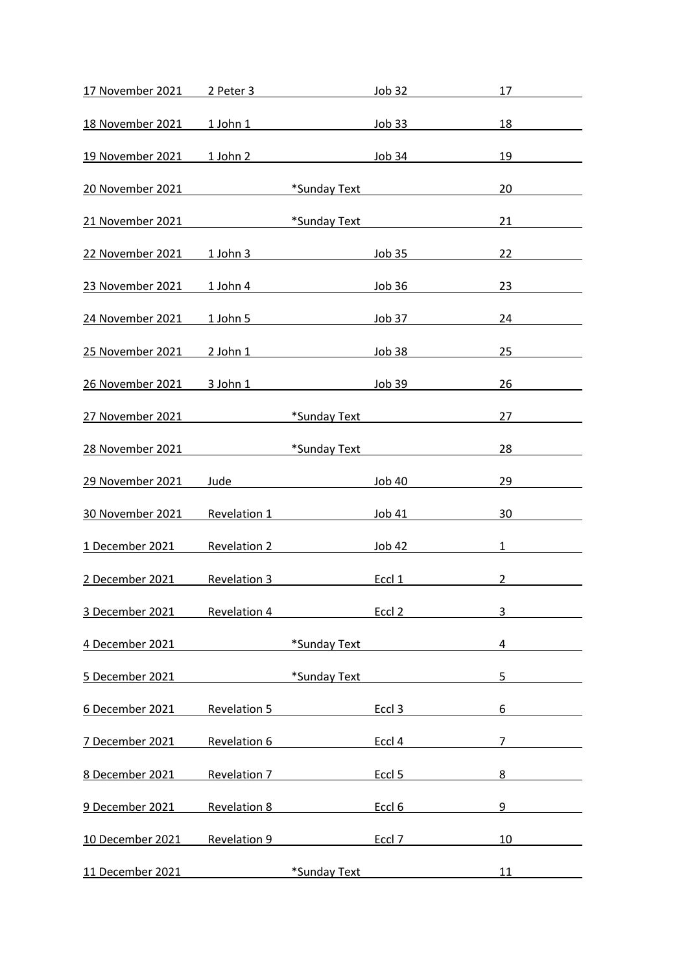| 17 November 2021        | 2 Peter 3           |                                                                                                                                                                                                                                     | Job 32            | 17                                                                |
|-------------------------|---------------------|-------------------------------------------------------------------------------------------------------------------------------------------------------------------------------------------------------------------------------------|-------------------|-------------------------------------------------------------------|
| <u>18 November 2021</u> |                     |                                                                                                                                                                                                                                     |                   | 18                                                                |
| 19 November 2021        |                     | 1 John 2 Job 34                                                                                                                                                                                                                     |                   | 19                                                                |
| 20 November 2021        |                     | <b>Example 12 Sunday Text</b> Text                                                                                                                                                                                                  |                   | 20                                                                |
| 21 November 2021        |                     | *Sunday Text <b>Existence</b> and the set of the set of the set of the set of the set of the set of the set of the set of the set of the set of the set of the set of the set of the set of the set of the set of the set of the se |                   | 21                                                                |
| 22 November 2021        |                     | 1 John 3 Job 35                                                                                                                                                                                                                     |                   | 22                                                                |
| 23 November 2021        |                     | 1 John 4 Job 36                                                                                                                                                                                                                     |                   | 23                                                                |
| 24 November 2021        | 1 John 5            |                                                                                                                                                                                                                                     |                   | Job 37<br>24                                                      |
| 25 November 2021        |                     | 2 John 1 Job 38                                                                                                                                                                                                                     |                   | 25                                                                |
| 26 November 2021        |                     | 3 John 1 Job 39                                                                                                                                                                                                                     |                   | 26                                                                |
| 27 November 2021        |                     | *Sunday Text <b>Access 1986</b>                                                                                                                                                                                                     |                   | 27                                                                |
| 28 November 2021        |                     | *Sunday Text <b>Exercise Sunday Text</b>                                                                                                                                                                                            |                   | 28                                                                |
| 29 November 2021        |                     | Jude and the contract of the contract of the contract of the contract of the contract of the contract of the contract of the contract of the contract of the contract of the contract of the contract of the contract of the c      |                   | <u>Job 40</u><br>29                                               |
| 30 November 2021        |                     | Revelation 1                                                                                                                                                                                                                        | Job 41            | 30                                                                |
| 1 December 2021         | Revelation 2        |                                                                                                                                                                                                                                     | Job 42            | $1 \quad \blacksquare$                                            |
| 2 December 2021         | <b>Revelation 3</b> |                                                                                                                                                                                                                                     |                   | Eccl 1<br>$\overline{2}$<br><u> a shekara ta 1999 a shekara t</u> |
| 3 December 2021         | Revelation 4        |                                                                                                                                                                                                                                     | Eccl <sub>2</sub> | 3                                                                 |
| 4 December 2021         |                     | *Sunday Text                                                                                                                                                                                                                        |                   | 4                                                                 |
| 5 December 2021         |                     | *Sunday Text                                                                                                                                                                                                                        |                   | 5                                                                 |
| 6 December 2021         | <b>Revelation 5</b> |                                                                                                                                                                                                                                     | Eccl 3            | 6                                                                 |
| 7 December 2021         | Revelation 6        |                                                                                                                                                                                                                                     | Eccl 4            | $\overline{7}$                                                    |
| 8 December 2021         | <b>Revelation 7</b> |                                                                                                                                                                                                                                     | Eccl <sub>5</sub> | 8                                                                 |
| 9 December 2021         | <b>Revelation 8</b> |                                                                                                                                                                                                                                     | Eccl 6            | 9                                                                 |
| 10 December 2021        | <b>Revelation 9</b> |                                                                                                                                                                                                                                     | Eccl 7            | 10                                                                |
| 11 December 2021        |                     | *Sunday Text                                                                                                                                                                                                                        |                   | 11                                                                |